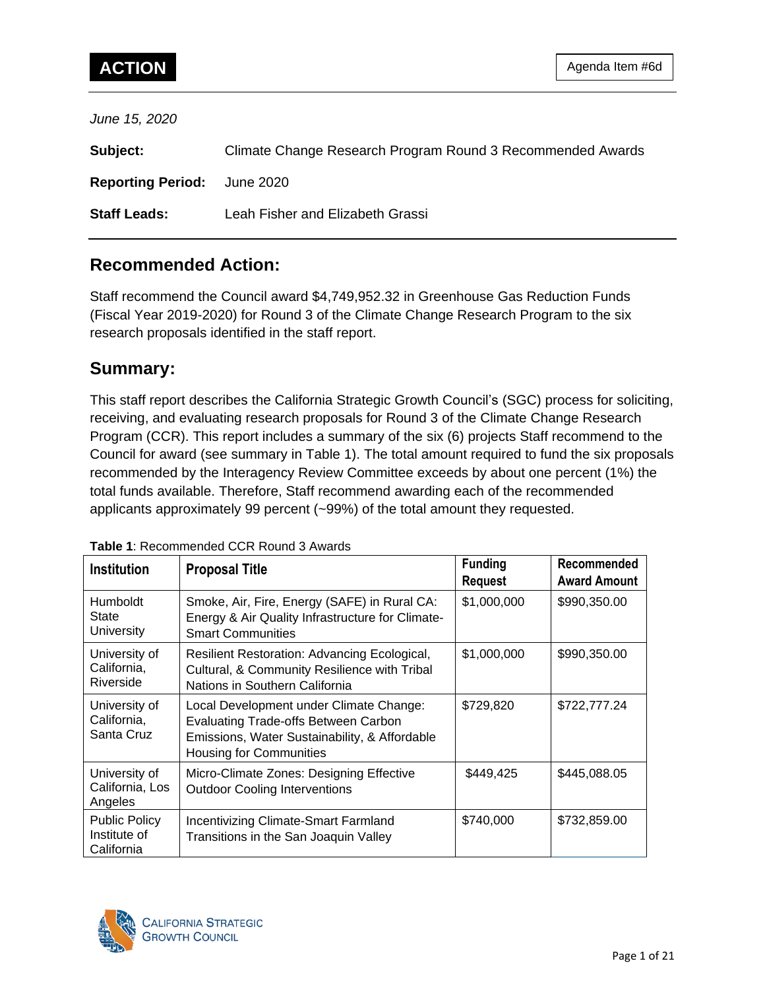*June 15, 2020*

| Subject:                           | Climate Change Research Program Round 3 Recommended Awards |
|------------------------------------|------------------------------------------------------------|
| <b>Reporting Period:</b> June 2020 |                                                            |
| <b>Staff Leads:</b>                | Leah Fisher and Elizabeth Grassi                           |

# **Recommended Action:**

Staff recommend the Council award \$4,749,952.32 in Greenhouse Gas Reduction Funds (Fiscal Year 2019-2020) for Round 3 of the Climate Change Research Program to the six research proposals identified in the staff report.

# **Summary:**

This staff report describes the California Strategic Growth Council's (SGC) process for soliciting, receiving, and evaluating research proposals for Round 3 of the Climate Change Research Program (CCR). This report includes a summary of the six (6) projects Staff recommend to the Council for award (see summary in Table 1). The total amount required to fund the six proposals recommended by the Interagency Review Committee exceeds by about one percent (1%) the total funds available. Therefore, Staff recommend awarding each of the recommended applicants approximately 99 percent (~99%) of the total amount they requested.

| <b>Institution</b>                                 | <b>Proposal Title</b>                                                                                                                                                     | <b>Funding</b> | Recommended         |
|----------------------------------------------------|---------------------------------------------------------------------------------------------------------------------------------------------------------------------------|----------------|---------------------|
|                                                    |                                                                                                                                                                           | <b>Request</b> | <b>Award Amount</b> |
| <b>Humboldt</b><br>State<br>University             | Smoke, Air, Fire, Energy (SAFE) in Rural CA:<br>Energy & Air Quality Infrastructure for Climate-<br><b>Smart Communities</b>                                              | \$1,000,000    | \$990,350.00        |
| University of<br>California,<br>Riverside          | Resilient Restoration: Advancing Ecological,<br>Cultural, & Community Resilience with Tribal<br>Nations in Southern California                                            | \$1,000,000    | \$990,350.00        |
| University of<br>California,<br>Santa Cruz         | Local Development under Climate Change:<br><b>Evaluating Trade-offs Between Carbon</b><br>Emissions, Water Sustainability, & Affordable<br><b>Housing for Communities</b> | \$729,820      | \$722,777.24        |
| University of<br>California, Los<br>Angeles        | Micro-Climate Zones: Designing Effective<br><b>Outdoor Cooling Interventions</b>                                                                                          | \$449,425      | \$445,088.05        |
| <b>Public Policy</b><br>Institute of<br>California | Incentivizing Climate-Smart Farmland<br>Transitions in the San Joaquin Valley                                                                                             | \$740,000      | \$732,859.00        |

#### **Table 1**: Recommended CCR Round 3 Awards

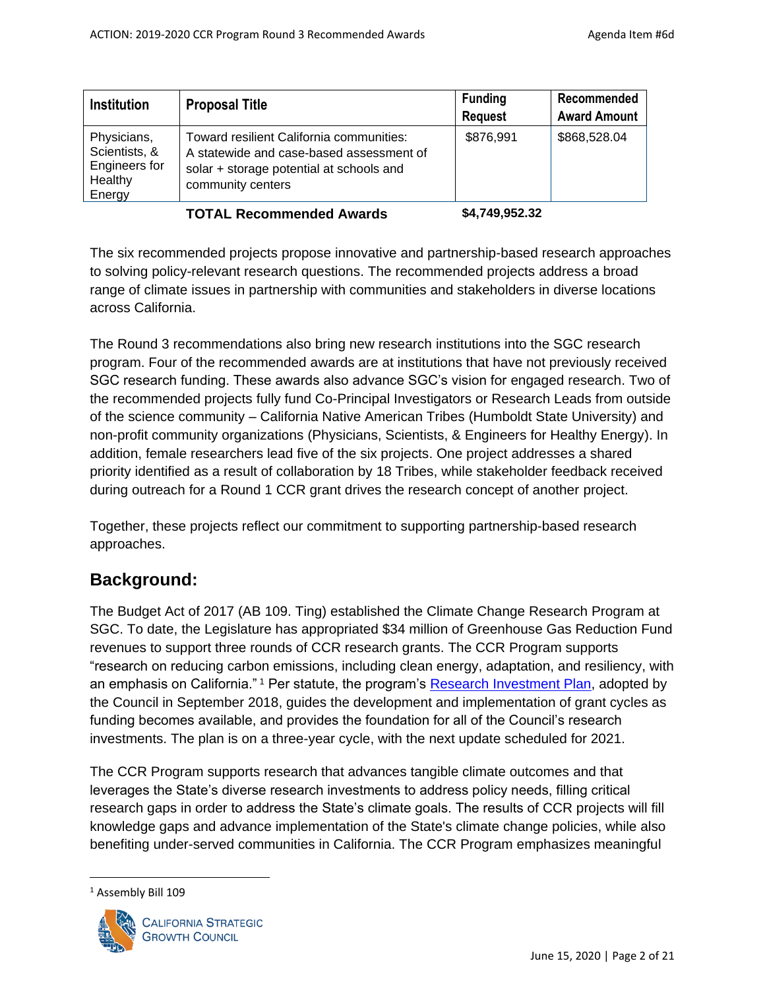| <b>Institution</b>                                                 | <b>Proposal Title</b>                                                                                                                                 | <b>Funding</b><br><b>Request</b> | Recommended<br><b>Award Amount</b> |
|--------------------------------------------------------------------|-------------------------------------------------------------------------------------------------------------------------------------------------------|----------------------------------|------------------------------------|
| Physicians,<br>Scientists, &<br>Engineers for<br>Healthy<br>Energy | Toward resilient California communities:<br>A statewide and case-based assessment of<br>solar + storage potential at schools and<br>community centers | \$876,991                        | \$868,528.04                       |

**TOTAL Recommended Awards \$4,749,952.32**

The six recommended projects propose innovative and partnership-based research approaches to solving policy-relevant research questions. The recommended projects address a broad range of climate issues in partnership with communities and stakeholders in diverse locations across California.

The Round 3 recommendations also bring new research institutions into the SGC research program. Four of the recommended awards are at institutions that have not previously received SGC research funding. These awards also advance SGC's vision for engaged research. Two of the recommended projects fully fund Co-Principal Investigators or Research Leads from outside of the science community – California Native American Tribes (Humboldt State University) and non-profit community organizations (Physicians, Scientists, & Engineers for Healthy Energy). In addition, female researchers lead five of the six projects. One project addresses a shared priority identified as a result of collaboration by 18 Tribes, while stakeholder feedback received during outreach for a Round 1 CCR grant drives the research concept of another project.

Together, these projects reflect our commitment to supporting partnership-based research approaches.

# **Background:**

The Budget Act of 2017 (AB 109. Ting) established the Climate Change Research Program at SGC. To date, the Legislature has appropriated \$34 million of Greenhouse Gas Reduction Fund revenues to support three rounds of CCR research grants. The CCR Program supports "research on reducing carbon emissions, including clean energy, adaptation, and resiliency, with an emphasis on California." <sup>1</sup> Per statute, the program's [Research Investment Plan,](http://sgc.ca.gov/programs/climate-research/docs/20181003-Approved-Research_Investment_Plan.pdf) adopted by the Council in September 2018, guides the development and implementation of grant cycles as funding becomes available, and provides the foundation for all of the Council's research investments. The plan is on a three-year cycle, with the next update scheduled for 2021.

The CCR Program supports research that advances tangible climate outcomes and that leverages the State's diverse research investments to address policy needs, filling critical research gaps in order to address the State's climate goals. The results of CCR projects will fill knowledge gaps and advance implementation of the State's climate change policies, while also benefiting under-served communities in California. The CCR Program emphasizes meaningful

<sup>&</sup>lt;sup>1</sup> Assembly Bill 109

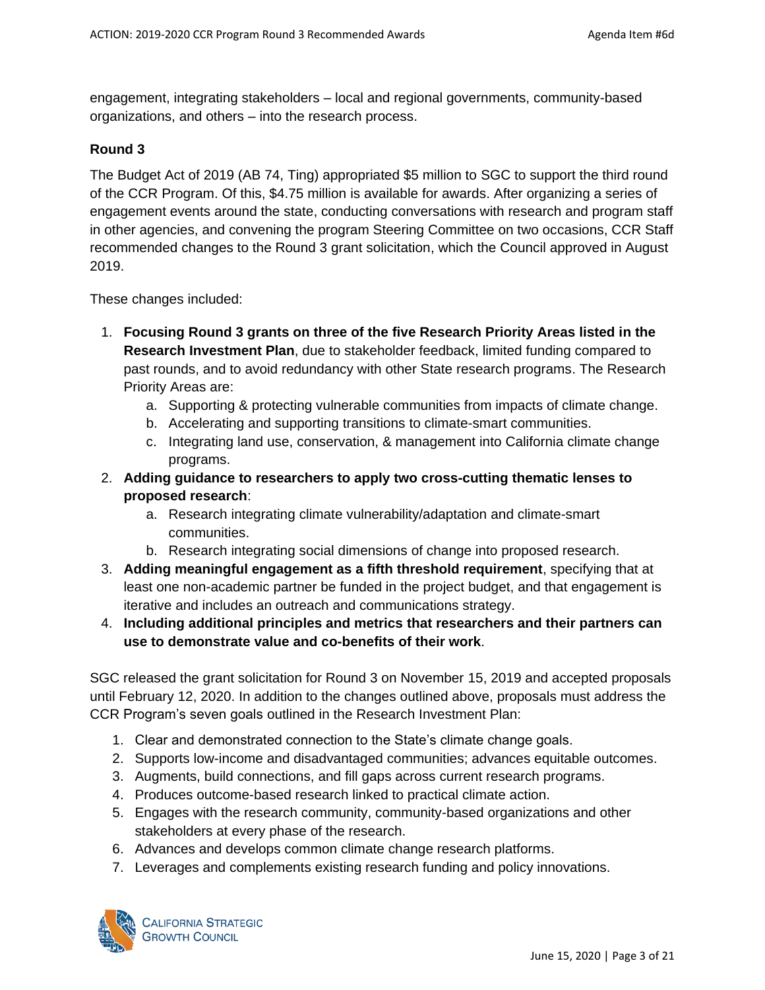engagement, integrating stakeholders – local and regional governments, community-based organizations, and others – into the research process.

#### **Round 3**

The Budget Act of 2019 (AB 74, Ting) appropriated \$5 million to SGC to support the third round of the CCR Program. Of this, \$4.75 million is available for awards. After organizing a series of engagement events around the state, conducting conversations with research and program staff in other agencies, and convening the program Steering Committee on two occasions, CCR Staff recommended changes to the Round 3 grant solicitation, which the Council approved in August 2019.

These changes included:

- 1. **Focusing Round 3 grants on three of the five Research Priority Areas listed in the Research Investment Plan**, due to stakeholder feedback, limited funding compared to past rounds, and to avoid redundancy with other State research programs. The Research Priority Areas are:
	- a. Supporting & protecting vulnerable communities from impacts of climate change.
	- b. Accelerating and supporting transitions to climate-smart communities.
	- c. Integrating land use, conservation, & management into California climate change programs.
- 2. **Adding guidance to researchers to apply two cross-cutting thematic lenses to proposed research**:
	- a. Research integrating climate vulnerability/adaptation and climate-smart communities.
	- b. Research integrating social dimensions of change into proposed research.
- 3. **Adding meaningful engagement as a fifth threshold requirement**, specifying that at least one non-academic partner be funded in the project budget, and that engagement is iterative and includes an outreach and communications strategy.
- 4. **Including additional principles and metrics that researchers and their partners can use to demonstrate value and co-benefits of their work**.

SGC released the grant solicitation for Round 3 on November 15, 2019 and accepted proposals until February 12, 2020. In addition to the changes outlined above, proposals must address the CCR Program's seven goals outlined in the Research Investment Plan:

- 1. Clear and demonstrated connection to the State's climate change goals.
- 2. Supports low-income and disadvantaged communities; advances equitable outcomes.
- 3. Augments, build connections, and fill gaps across current research programs.
- 4. Produces outcome-based research linked to practical climate action.
- 5. Engages with the research community, community-based organizations and other stakeholders at every phase of the research.
- 6. Advances and develops common climate change research platforms.
- 7. Leverages and complements existing research funding and policy innovations.

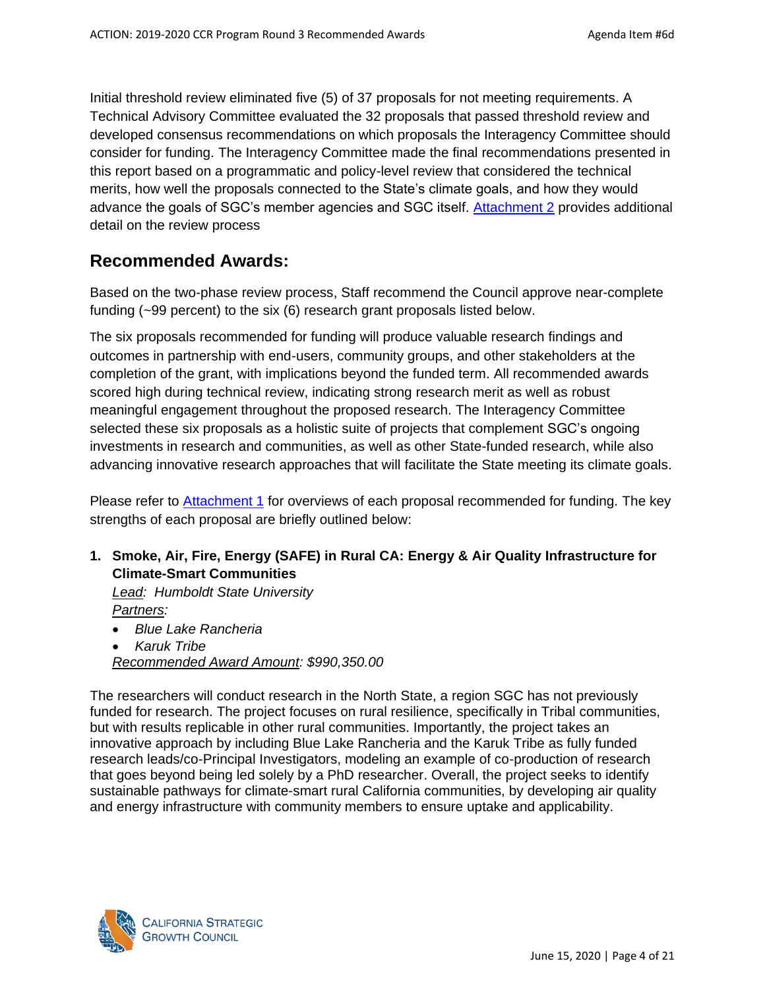Initial threshold review eliminated five (5) of 37 proposals for not meeting requirements. A Technical Advisory Committee evaluated the 32 proposals that passed threshold review and developed consensus recommendations on which proposals the Interagency Committee should consider for funding. The Interagency Committee made the final recommendations presented in this report based on a programmatic and policy-level review that considered the technical merits, how well the proposals connected to the State's climate goals, and how they would advance the goals of SGC's member agencies and SGC itself. [Attachment 2](#page-14-0) provides additional detail on the review process

# **Recommended Awards:**

Based on the two-phase review process, Staff recommend the Council approve near-complete funding (~99 percent) to the six (6) research grant proposals listed below.

The six proposals recommended for funding will produce valuable research findings and outcomes in partnership with end-users, community groups, and other stakeholders at the completion of the grant, with implications beyond the funded term. All recommended awards scored high during technical review, indicating strong research merit as well as robust meaningful engagement throughout the proposed research. The Interagency Committee selected these six proposals as a holistic suite of projects that complement SGC's ongoing investments in research and communities, as well as other State-funded research, while also advancing innovative research approaches that will facilitate the State meeting its climate goals.

Please refer to **[Attachment 1](#page-8-0)** for overviews of each proposal recommended for funding. The key strengths of each proposal are briefly outlined below:

### **1. Smoke, Air, Fire, Energy (SAFE) in Rural CA: Energy & Air Quality Infrastructure for Climate-Smart Communities**

*Lead: Humboldt State University Partners:* 

- *Blue Lake Rancheria*
- *Karuk Tribe*

*Recommended Award Amount: \$990,350.00*

The researchers will conduct research in the North State, a region SGC has not previously funded for research. The project focuses on rural resilience, specifically in Tribal communities, but with results replicable in other rural communities. Importantly, the project takes an innovative approach by including Blue Lake Rancheria and the Karuk Tribe as fully funded research leads/co-Principal Investigators, modeling an example of co-production of research that goes beyond being led solely by a PhD researcher. Overall, the project seeks to identify sustainable pathways for climate-smart rural California communities, by developing air quality and energy infrastructure with community members to ensure uptake and applicability.

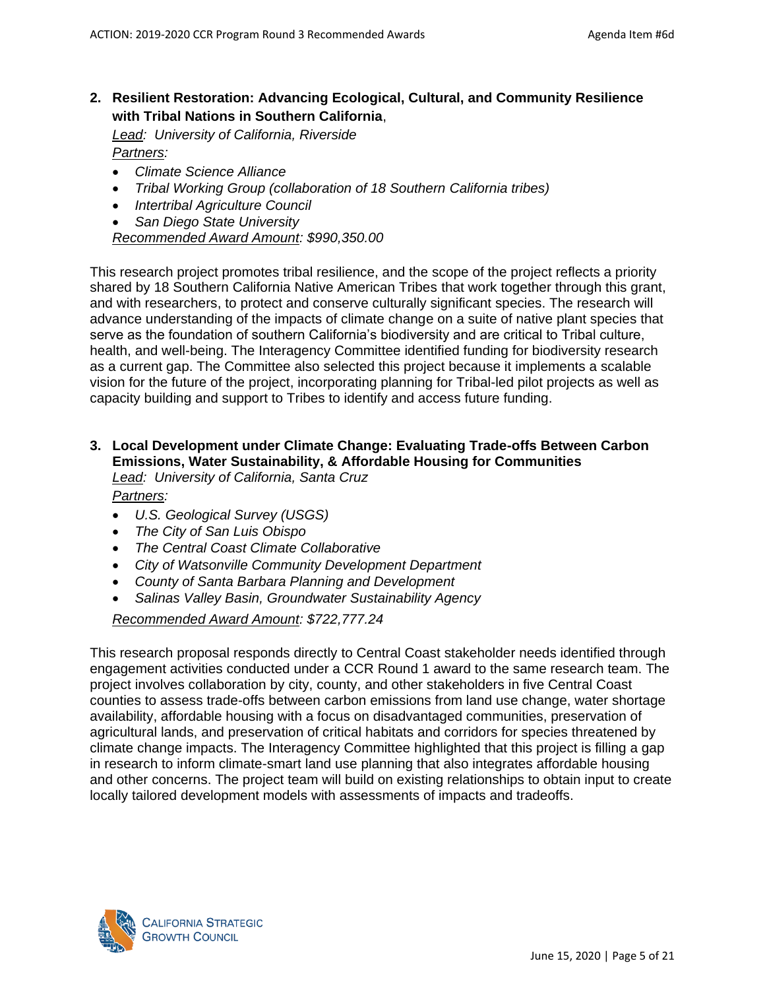### **2. Resilient Restoration: Advancing Ecological, Cultural, and Community Resilience with Tribal Nations in Southern California**,

*Lead: University of California, Riverside Partners:* 

- *Climate Science Alliance*
- *Tribal Working Group (collaboration of 18 Southern California tribes)*
- *Intertribal Agriculture Council*
- *San Diego State University*

*Recommended Award Amount: \$990,350.00*

This research project promotes tribal resilience, and the scope of the project reflects a priority shared by 18 Southern California Native American Tribes that work together through this grant, and with researchers, to protect and conserve culturally significant species. The research will advance understanding of the impacts of climate change on a suite of native plant species that serve as the foundation of southern California's biodiversity and are critical to Tribal culture, health, and well-being. The Interagency Committee identified funding for biodiversity research as a current gap. The Committee also selected this project because it implements a scalable vision for the future of the project, incorporating planning for Tribal-led pilot projects as well as capacity building and support to Tribes to identify and access future funding.

#### **3. Local Development under Climate Change: Evaluating Trade-offs Between Carbon Emissions, Water Sustainability, & Affordable Housing for Communities** *Lead: University of California, Santa Cruz*

*Partners:* 

- *U.S. Geological Survey (USGS)*
- *The City of San Luis Obispo*
- *The Central Coast Climate Collaborative*
- *City of Watsonville Community Development Department*
- *County of Santa Barbara Planning and Development*
- *Salinas Valley Basin, Groundwater Sustainability Agency*

#### *Recommended Award Amount: \$722,777.24*

This research proposal responds directly to Central Coast stakeholder needs identified through engagement activities conducted under a CCR Round 1 award to the same research team. The project involves collaboration by city, county, and other stakeholders in five Central Coast counties to assess trade-offs between carbon emissions from land use change, water shortage availability, affordable housing with a focus on disadvantaged communities, preservation of agricultural lands, and preservation of critical habitats and corridors for species threatened by climate change impacts. The Interagency Committee highlighted that this project is filling a gap in research to inform climate-smart land use planning that also integrates affordable housing and other concerns. The project team will build on existing relationships to obtain input to create locally tailored development models with assessments of impacts and tradeoffs.

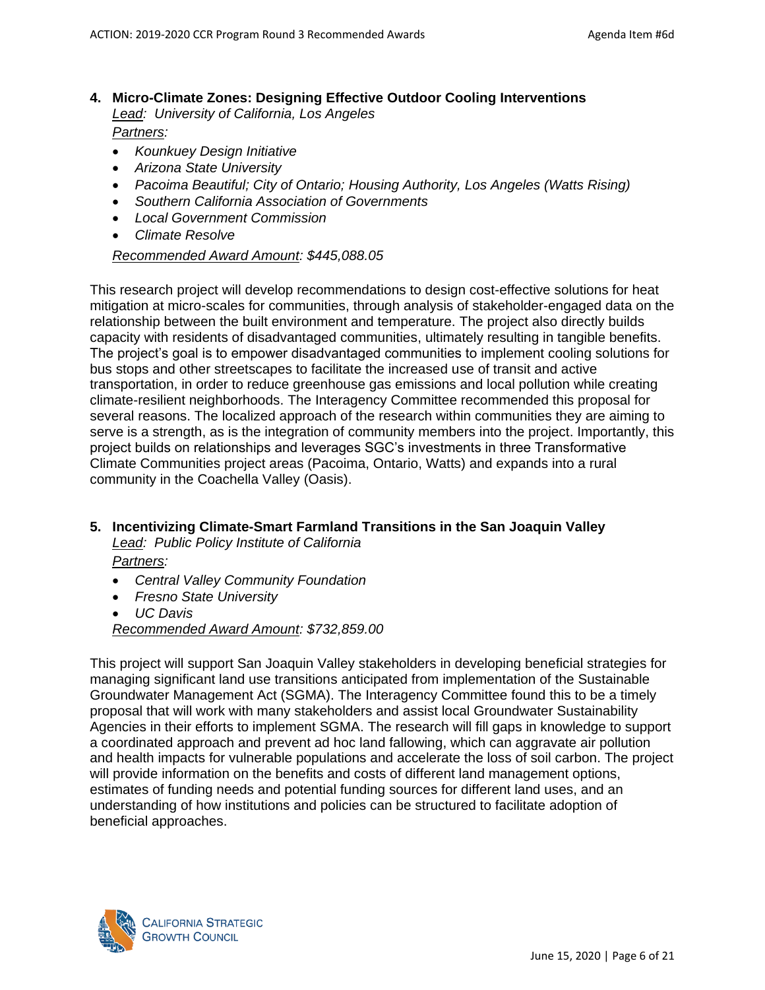- **4. Micro-Climate Zones: Designing Effective Outdoor Cooling Interventions** *Lead: University of California, Los Angeles Partners:*
	- *Kounkuey Design Initiative*
	- *Arizona State University*
	- *Pacoima Beautiful; City of Ontario; Housing Authority, Los Angeles (Watts Rising)*
	- *Southern California Association of Governments*
	- *Local Government Commission*
	- *Climate Resolve*

#### *Recommended Award Amount: \$445,088.05*

This research project will develop recommendations to design cost-effective solutions for heat mitigation at micro-scales for communities, through analysis of stakeholder-engaged data on the relationship between the built environment and temperature. The project also directly builds capacity with residents of disadvantaged communities, ultimately resulting in tangible benefits. The project's goal is to empower disadvantaged communities to implement cooling solutions for bus stops and other streetscapes to facilitate the increased use of transit and active transportation, in order to reduce greenhouse gas emissions and local pollution while creating climate-resilient neighborhoods. The Interagency Committee recommended this proposal for several reasons. The localized approach of the research within communities they are aiming to serve is a strength, as is the integration of community members into the project. Importantly, this project builds on relationships and leverages SGC's investments in three Transformative Climate Communities project areas (Pacoima, Ontario, Watts) and expands into a rural community in the Coachella Valley (Oasis).

#### **5. Incentivizing Climate-Smart Farmland Transitions in the San Joaquin Valley**

*Lead: Public Policy Institute of California Partners:* 

- *Central Valley Community Foundation*
- *Fresno State University*
- *UC Davis*

*Recommended Award Amount: \$732,859.00*

This project will support San Joaquin Valley stakeholders in developing beneficial strategies for managing significant land use transitions anticipated from implementation of the Sustainable Groundwater Management Act (SGMA). The Interagency Committee found this to be a timely proposal that will work with many stakeholders and assist local Groundwater Sustainability Agencies in their efforts to implement SGMA. The research will fill gaps in knowledge to support a coordinated approach and prevent ad hoc land fallowing, which can aggravate air pollution and health impacts for vulnerable populations and accelerate the loss of soil carbon. The project will provide information on the benefits and costs of different land management options, estimates of funding needs and potential funding sources for different land uses, and an understanding of how institutions and policies can be structured to facilitate adoption of beneficial approaches.

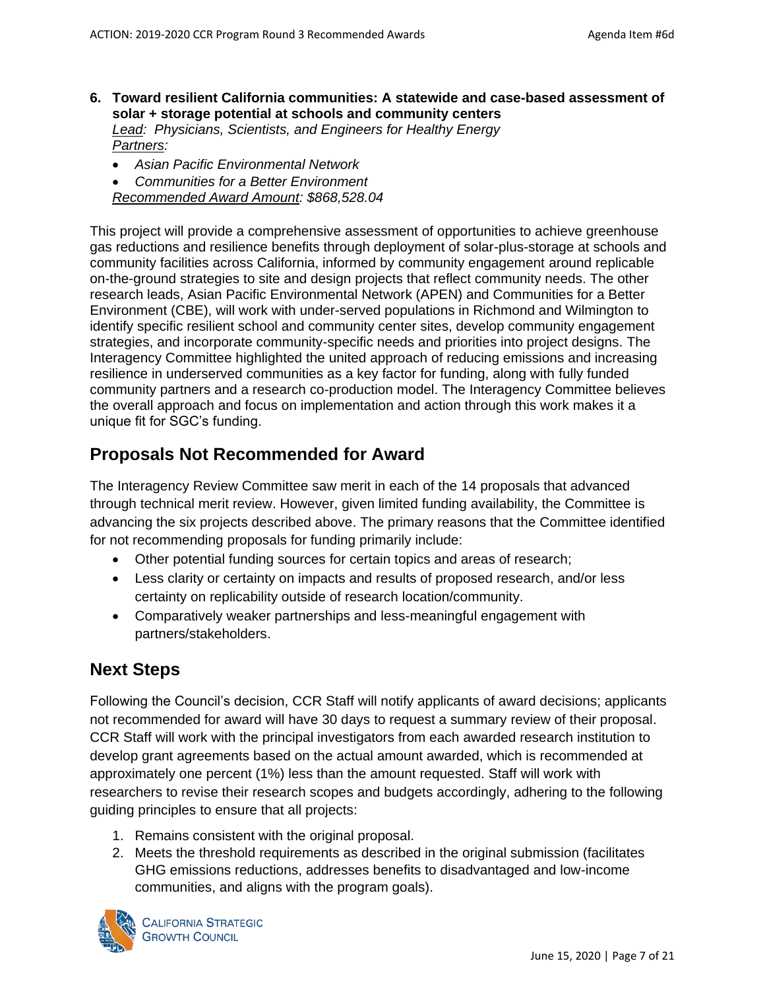- **6. Toward resilient California communities: A statewide and case-based assessment of solar + storage potential at schools and community centers** *Lead: Physicians, Scientists, and Engineers for Healthy Energy Partners:* 
	- *Asian Pacific Environmental Network*
	- *Communities for a Better Environment*
	- *Recommended Award Amount: \$868,528.04*

This project will provide a comprehensive assessment of opportunities to achieve greenhouse gas reductions and resilience benefits through deployment of solar-plus-storage at schools and community facilities across California, informed by community engagement around replicable on-the-ground strategies to site and design projects that reflect community needs. The other research leads, Asian Pacific Environmental Network (APEN) and Communities for a Better Environment (CBE), will work with under-served populations in Richmond and Wilmington to identify specific resilient school and community center sites, develop community engagement strategies, and incorporate community-specific needs and priorities into project designs. The Interagency Committee highlighted the united approach of reducing emissions and increasing resilience in underserved communities as a key factor for funding, along with fully funded community partners and a research co-production model. The Interagency Committee believes the overall approach and focus on implementation and action through this work makes it a unique fit for SGC's funding.

# **Proposals Not Recommended for Award**

The Interagency Review Committee saw merit in each of the 14 proposals that advanced through technical merit review. However, given limited funding availability, the Committee is advancing the six projects described above. The primary reasons that the Committee identified for not recommending proposals for funding primarily include:

- Other potential funding sources for certain topics and areas of research;
- Less clarity or certainty on impacts and results of proposed research, and/or less certainty on replicability outside of research location/community.
- Comparatively weaker partnerships and less-meaningful engagement with partners/stakeholders.

# **Next Steps**

Following the Council's decision, CCR Staff will notify applicants of award decisions; applicants not recommended for award will have 30 days to request a summary review of their proposal. CCR Staff will work with the principal investigators from each awarded research institution to develop grant agreements based on the actual amount awarded, which is recommended at approximately one percent (1%) less than the amount requested. Staff will work with researchers to revise their research scopes and budgets accordingly, adhering to the following guiding principles to ensure that all projects:

- 1. Remains consistent with the original proposal.
- 2. Meets the threshold requirements as described in the original submission (facilitates GHG emissions reductions, addresses benefits to disadvantaged and low-income communities, and aligns with the program goals).

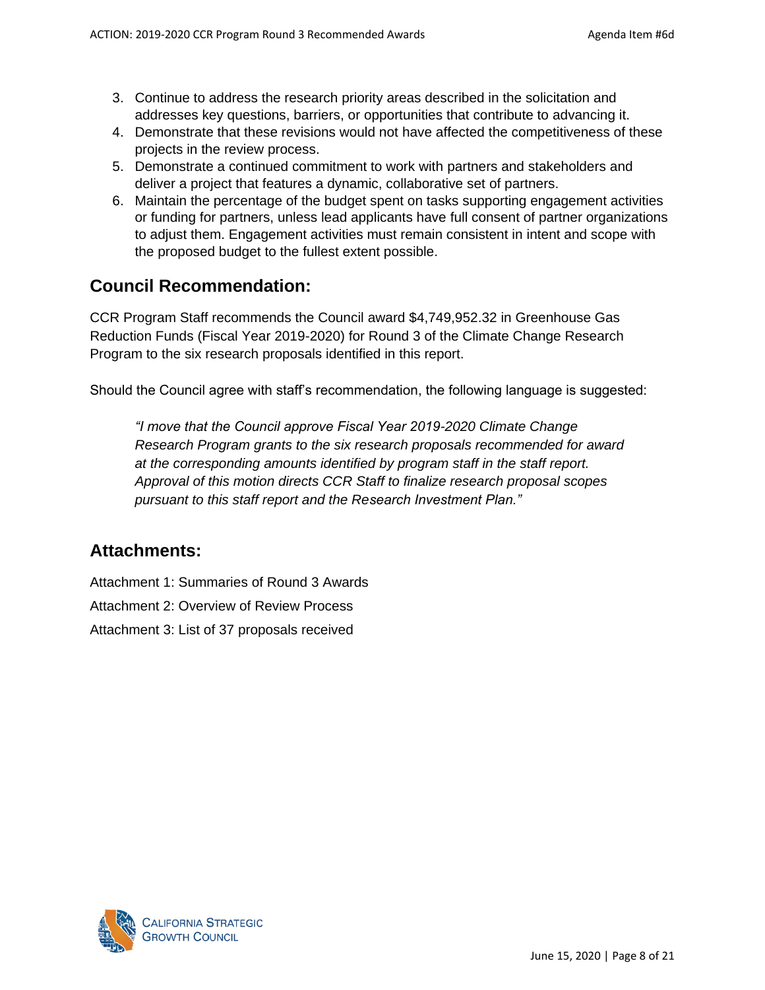- 3. Continue to address the research priority areas described in the solicitation and addresses key questions, barriers, or opportunities that contribute to advancing it.
- 4. Demonstrate that these revisions would not have affected the competitiveness of these projects in the review process.
- 5. Demonstrate a continued commitment to work with partners and stakeholders and deliver a project that features a dynamic, collaborative set of partners.
- 6. Maintain the percentage of the budget spent on tasks supporting engagement activities or funding for partners, unless lead applicants have full consent of partner organizations to adjust them. Engagement activities must remain consistent in intent and scope with the proposed budget to the fullest extent possible.

# **Council Recommendation:**

CCR Program Staff recommends the Council award \$4,749,952.32 in Greenhouse Gas Reduction Funds (Fiscal Year 2019-2020) for Round 3 of the Climate Change Research Program to the six research proposals identified in this report.

Should the Council agree with staff's recommendation, the following language is suggested:

*"I move that the Council approve Fiscal Year 2019-2020 Climate Change Research Program grants to the six research proposals recommended for award at the corresponding amounts identified by program staff in the staff report. Approval of this motion directs CCR Staff to finalize research proposal scopes pursuant to this staff report and the Research Investment Plan."*

# **Attachments:**

Attachment 1: Summaries of Round 3 Awards Attachment 2: Overview of Review Process Attachment 3: List of 37 proposals received

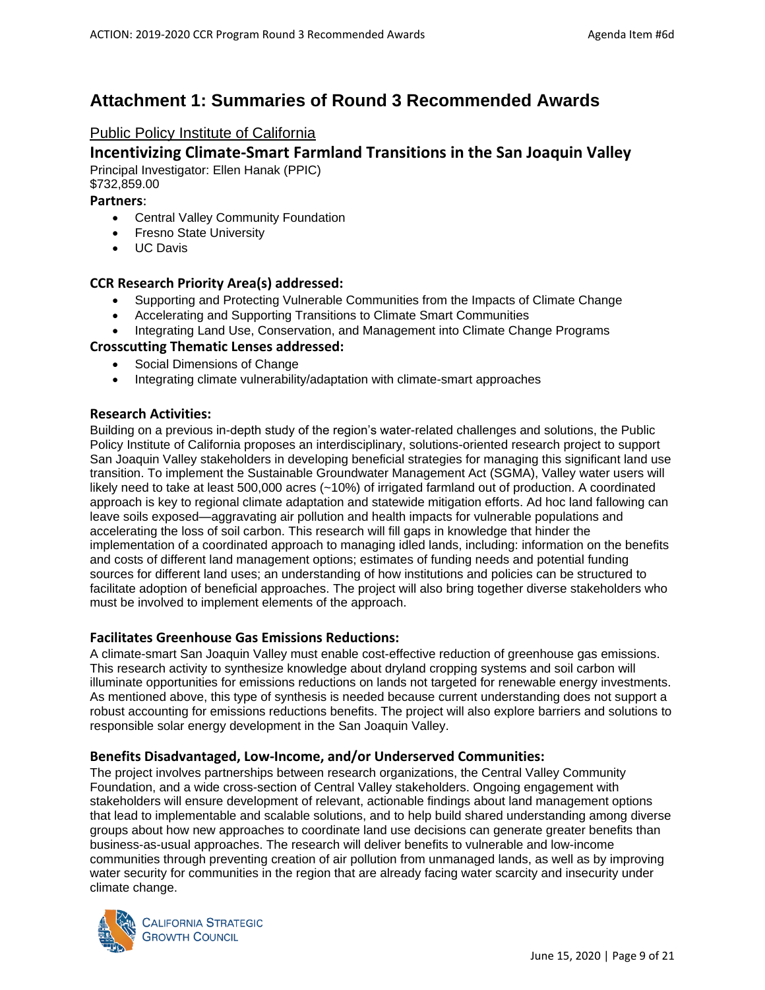# <span id="page-8-0"></span>**Attachment 1: Summaries of Round 3 Recommended Awards**

### Public Policy Institute of California

### **Incentivizing Climate-Smart Farmland Transitions in the San Joaquin Valley**

Principal Investigator: Ellen Hanak (PPIC) \$732,859.00

#### **Partners**:

- Central Valley Community Foundation
- Fresno State University
- UC Davis

#### **CCR Research Priority Area(s) addressed:**

- Supporting and Protecting Vulnerable Communities from the Impacts of Climate Change
- Accelerating and Supporting Transitions to Climate Smart Communities
- Integrating Land Use, Conservation, and Management into Climate Change Programs

#### **Crosscutting Thematic Lenses addressed:**

- Social Dimensions of Change
- Integrating climate vulnerability/adaptation with climate-smart approaches

#### **Research Activities:**

Building on a previous in-depth study of the region's water-related challenges and solutions, the Public Policy Institute of California proposes an interdisciplinary, solutions-oriented research project to support San Joaquin Valley stakeholders in developing beneficial strategies for managing this significant land use transition. To implement the Sustainable Groundwater Management Act (SGMA), Valley water users will likely need to take at least 500,000 acres (~10%) of irrigated farmland out of production. A coordinated approach is key to regional climate adaptation and statewide mitigation efforts. Ad hoc land fallowing can leave soils exposed—aggravating air pollution and health impacts for vulnerable populations and accelerating the loss of soil carbon. This research will fill gaps in knowledge that hinder the implementation of a coordinated approach to managing idled lands, including: information on the benefits and costs of different land management options; estimates of funding needs and potential funding sources for different land uses; an understanding of how institutions and policies can be structured to facilitate adoption of beneficial approaches. The project will also bring together diverse stakeholders who must be involved to implement elements of the approach.

#### **Facilitates Greenhouse Gas Emissions Reductions:**

A climate-smart San Joaquin Valley must enable cost-effective reduction of greenhouse gas emissions. This research activity to synthesize knowledge about dryland cropping systems and soil carbon will illuminate opportunities for emissions reductions on lands not targeted for renewable energy investments. As mentioned above, this type of synthesis is needed because current understanding does not support a robust accounting for emissions reductions benefits. The project will also explore barriers and solutions to responsible solar energy development in the San Joaquin Valley.

#### **Benefits Disadvantaged, Low-Income, and/or Underserved Communities:**

The project involves partnerships between research organizations, the Central Valley Community Foundation, and a wide cross-section of Central Valley stakeholders. Ongoing engagement with stakeholders will ensure development of relevant, actionable findings about land management options that lead to implementable and scalable solutions, and to help build shared understanding among diverse groups about how new approaches to coordinate land use decisions can generate greater benefits than business-as-usual approaches. The research will deliver benefits to vulnerable and low-income communities through preventing creation of air pollution from unmanaged lands, as well as by improving water security for communities in the region that are already facing water scarcity and insecurity under climate change.

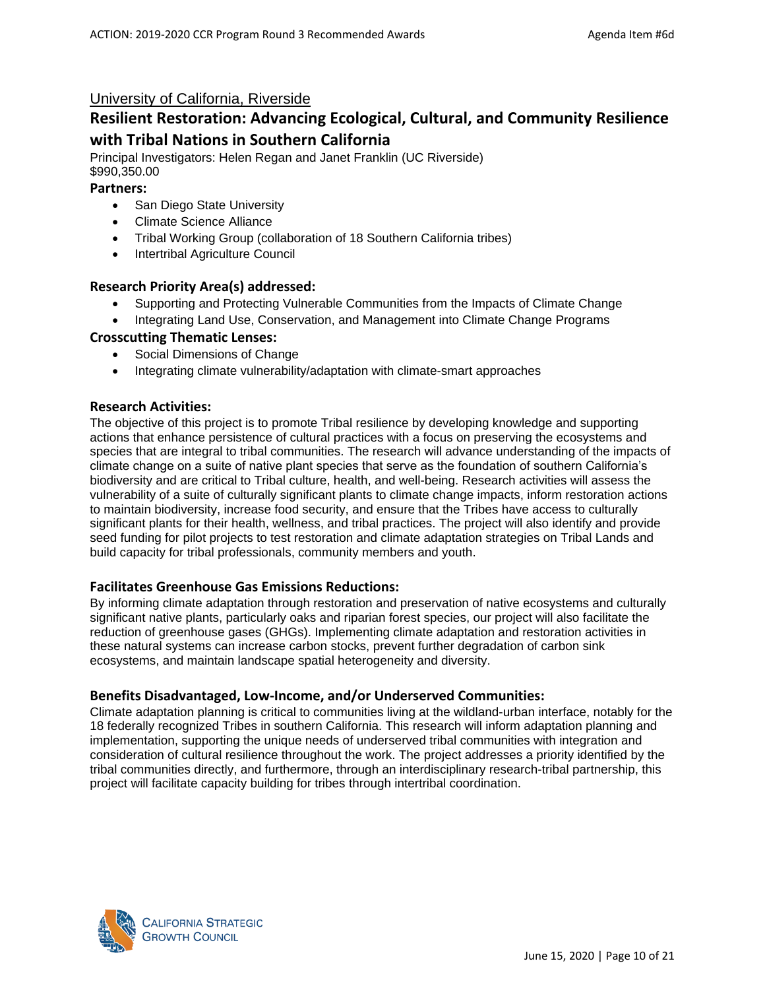### University of California, Riverside

# **Resilient Restoration: Advancing Ecological, Cultural, and Community Resilience with Tribal Nations in Southern California**

Principal Investigators: Helen Regan and Janet Franklin (UC Riverside) \$990,350.00

#### **Partners:**

- San Diego State University
- Climate Science Alliance
- Tribal Working Group (collaboration of 18 Southern California tribes)
- Intertribal Agriculture Council

#### **Research Priority Area(s) addressed:**

- Supporting and Protecting Vulnerable Communities from the Impacts of Climate Change
- Integrating Land Use, Conservation, and Management into Climate Change Programs

#### **Crosscutting Thematic Lenses:**

- Social Dimensions of Change
- Integrating climate vulnerability/adaptation with climate-smart approaches

#### **Research Activities:**

The objective of this project is to promote Tribal resilience by developing knowledge and supporting actions that enhance persistence of cultural practices with a focus on preserving the ecosystems and species that are integral to tribal communities. The research will advance understanding of the impacts of climate change on a suite of native plant species that serve as the foundation of southern California's biodiversity and are critical to Tribal culture, health, and well-being. Research activities will assess the vulnerability of a suite of culturally significant plants to climate change impacts, inform restoration actions to maintain biodiversity, increase food security, and ensure that the Tribes have access to culturally significant plants for their health, wellness, and tribal practices. The project will also identify and provide seed funding for pilot projects to test restoration and climate adaptation strategies on Tribal Lands and build capacity for tribal professionals, community members and youth.

#### **Facilitates Greenhouse Gas Emissions Reductions:**

By informing climate adaptation through restoration and preservation of native ecosystems and culturally significant native plants, particularly oaks and riparian forest species, our project will also facilitate the reduction of greenhouse gases (GHGs). Implementing climate adaptation and restoration activities in these natural systems can increase carbon stocks, prevent further degradation of carbon sink ecosystems, and maintain landscape spatial heterogeneity and diversity.

#### **Benefits Disadvantaged, Low-Income, and/or Underserved Communities:**

Climate adaptation planning is critical to communities living at the wildland-urban interface, notably for the 18 federally recognized Tribes in southern California. This research will inform adaptation planning and implementation, supporting the unique needs of underserved tribal communities with integration and consideration of cultural resilience throughout the work. The project addresses a priority identified by the tribal communities directly, and furthermore, through an interdisciplinary research-tribal partnership, this project will facilitate capacity building for tribes through intertribal coordination.

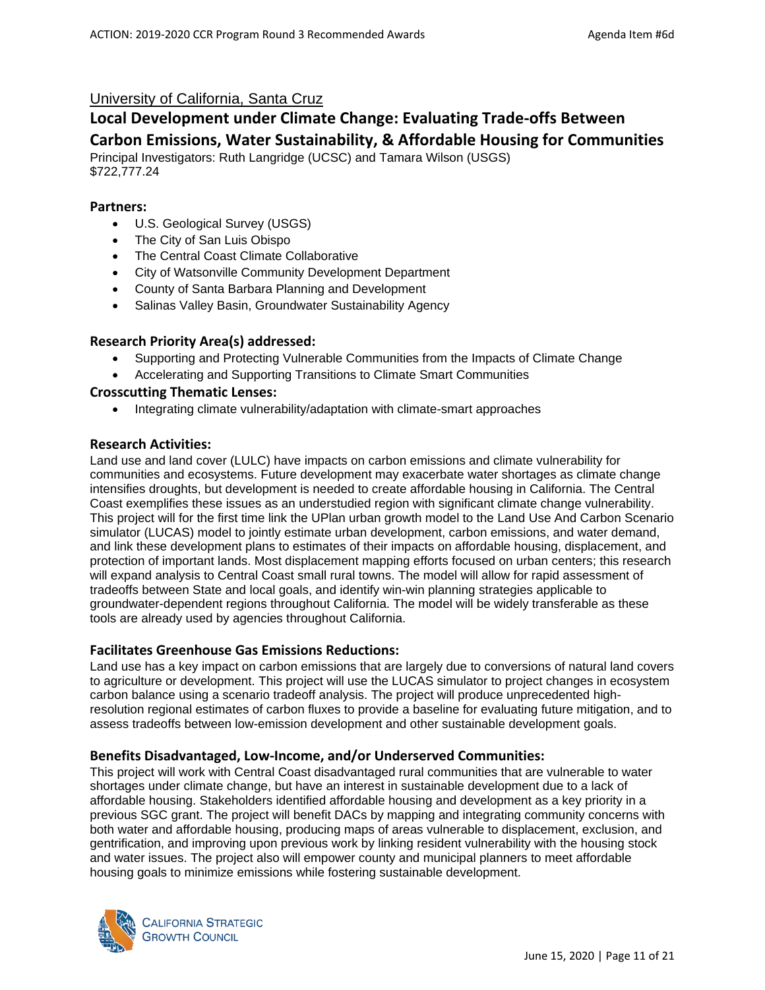### University of California, Santa Cruz

# **Local Development under Climate Change: Evaluating Trade-offs Between**

# **Carbon Emissions, Water Sustainability, & Affordable Housing for Communities**

Principal Investigators: Ruth Langridge (UCSC) and Tamara Wilson (USGS) \$722,777.24

#### **Partners:**

- U.S. Geological Survey (USGS)
- The City of San Luis Obispo
- The Central Coast Climate Collaborative
- City of Watsonville Community Development Department
- County of Santa Barbara Planning and Development
- Salinas Valley Basin, Groundwater Sustainability Agency

#### **Research Priority Area(s) addressed:**

- Supporting and Protecting Vulnerable Communities from the Impacts of Climate Change
- Accelerating and Supporting Transitions to Climate Smart Communities

#### **Crosscutting Thematic Lenses:**

• Integrating climate vulnerability/adaptation with climate-smart approaches

#### **Research Activities:**

Land use and land cover (LULC) have impacts on carbon emissions and climate vulnerability for communities and ecosystems. Future development may exacerbate water shortages as climate change intensifies droughts, but development is needed to create affordable housing in California. The Central Coast exemplifies these issues as an understudied region with significant climate change vulnerability. This project will for the first time link the UPlan urban growth model to the Land Use And Carbon Scenario simulator (LUCAS) model to jointly estimate urban development, carbon emissions, and water demand, and link these development plans to estimates of their impacts on affordable housing, displacement, and protection of important lands. Most displacement mapping efforts focused on urban centers; this research will expand analysis to Central Coast small rural towns. The model will allow for rapid assessment of tradeoffs between State and local goals, and identify win-win planning strategies applicable to groundwater-dependent regions throughout California. The model will be widely transferable as these tools are already used by agencies throughout California.

#### **Facilitates Greenhouse Gas Emissions Reductions:**

Land use has a key impact on carbon emissions that are largely due to conversions of natural land covers to agriculture or development. This project will use the LUCAS simulator to project changes in ecosystem carbon balance using a scenario tradeoff analysis. The project will produce unprecedented highresolution regional estimates of carbon fluxes to provide a baseline for evaluating future mitigation, and to assess tradeoffs between low-emission development and other sustainable development goals.

#### **Benefits Disadvantaged, Low-Income, and/or Underserved Communities:**

This project will work with Central Coast disadvantaged rural communities that are vulnerable to water shortages under climate change, but have an interest in sustainable development due to a lack of affordable housing. Stakeholders identified affordable housing and development as a key priority in a previous SGC grant. The project will benefit DACs by mapping and integrating community concerns with both water and affordable housing, producing maps of areas vulnerable to displacement, exclusion, and gentrification, and improving upon previous work by linking resident vulnerability with the housing stock and water issues. The project also will empower county and municipal planners to meet affordable housing goals to minimize emissions while fostering sustainable development.

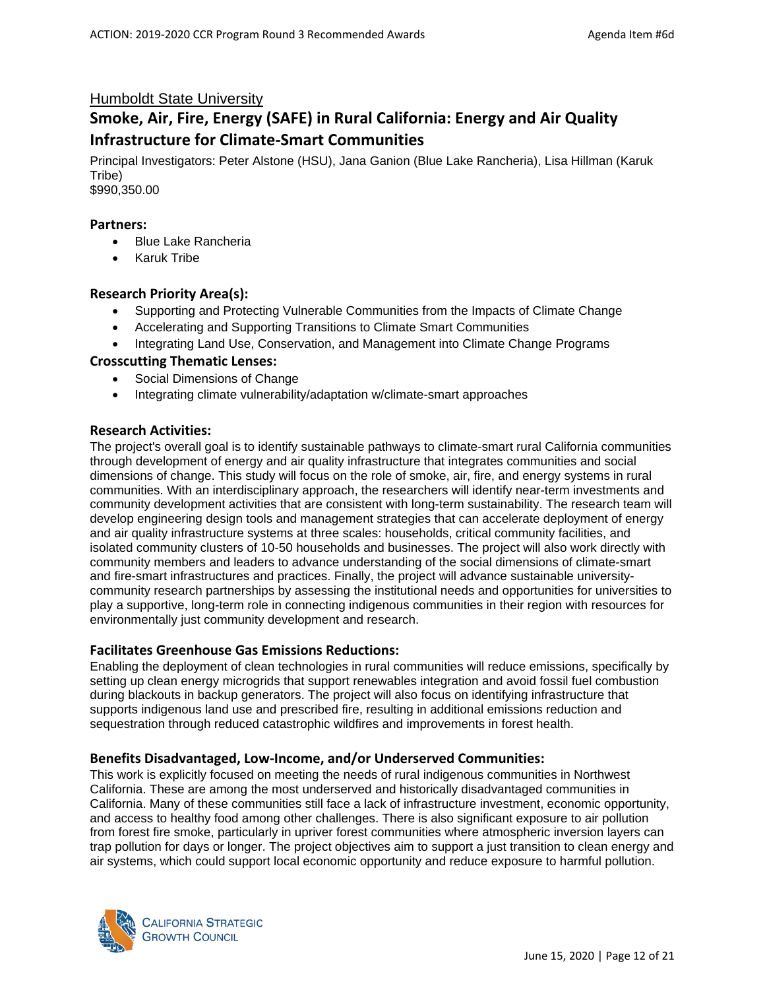### Humboldt State University

# **Smoke, Air, Fire, Energy (SAFE) in Rural California: Energy and Air Quality Infrastructure for Climate-Smart Communities**

Principal Investigators: Peter Alstone (HSU), Jana Ganion (Blue Lake Rancheria), Lisa Hillman (Karuk Tribe) \$990,350.00

#### **Partners:**

- Blue Lake Rancheria
- Karuk Tribe

#### **Research Priority Area(s):**

- Supporting and Protecting Vulnerable Communities from the Impacts of Climate Change
- Accelerating and Supporting Transitions to Climate Smart Communities
- Integrating Land Use, Conservation, and Management into Climate Change Programs

#### **Crosscutting Thematic Lenses:**

- Social Dimensions of Change
- Integrating climate vulnerability/adaptation w/climate-smart approaches

#### **Research Activities:**

The project's overall goal is to identify sustainable pathways to climate-smart rural California communities through development of energy and air quality infrastructure that integrates communities and social dimensions of change. This study will focus on the role of smoke, air, fire, and energy systems in rural communities. With an interdisciplinary approach, the researchers will identify near-term investments and community development activities that are consistent with long-term sustainability. The research team will develop engineering design tools and management strategies that can accelerate deployment of energy and air quality infrastructure systems at three scales: households, critical community facilities, and isolated community clusters of 10-50 households and businesses. The project will also work directly with community members and leaders to advance understanding of the social dimensions of climate-smart and fire-smart infrastructures and practices. Finally, the project will advance sustainable universitycommunity research partnerships by assessing the institutional needs and opportunities for universities to play a supportive, long-term role in connecting indigenous communities in their region with resources for environmentally just community development and research.

#### **Facilitates Greenhouse Gas Emissions Reductions:**

Enabling the deployment of clean technologies in rural communities will reduce emissions, specifically by setting up clean energy microgrids that support renewables integration and avoid fossil fuel combustion during blackouts in backup generators. The project will also focus on identifying infrastructure that supports indigenous land use and prescribed fire, resulting in additional emissions reduction and sequestration through reduced catastrophic wildfires and improvements in forest health.

#### **Benefits Disadvantaged, Low-Income, and/or Underserved Communities:**

This work is explicitly focused on meeting the needs of rural indigenous communities in Northwest California. These are among the most underserved and historically disadvantaged communities in California. Many of these communities still face a lack of infrastructure investment, economic opportunity, and access to healthy food among other challenges. There is also significant exposure to air pollution from forest fire smoke, particularly in upriver forest communities where atmospheric inversion layers can trap pollution for days or longer. The project objectives aim to support a just transition to clean energy and air systems, which could support local economic opportunity and reduce exposure to harmful pollution.

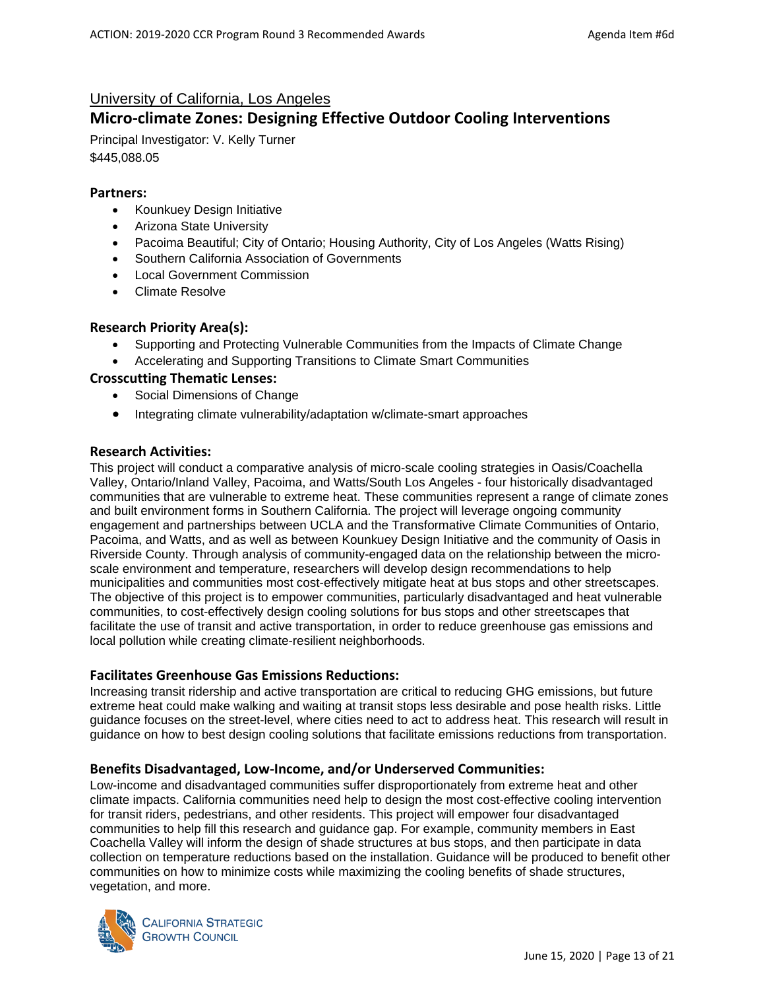### University of California, Los Angeles

# **Micro-climate Zones: Designing Effective Outdoor Cooling Interventions**

Principal Investigator: V. Kelly Turner \$445,088.05

#### **Partners:**

- Kounkuey Design Initiative
- Arizona State University
- Pacoima Beautiful; City of Ontario; Housing Authority, City of Los Angeles (Watts Rising)
- Southern California Association of Governments
- Local Government Commission
- Climate Resolve

#### **Research Priority Area(s):**

- Supporting and Protecting Vulnerable Communities from the Impacts of Climate Change
- Accelerating and Supporting Transitions to Climate Smart Communities

#### **Crosscutting Thematic Lenses:**

- Social Dimensions of Change
- Integrating climate vulnerability/adaptation w/climate-smart approaches

#### **Research Activities:**

This project will conduct a comparative analysis of micro-scale cooling strategies in Oasis/Coachella Valley, Ontario/Inland Valley, Pacoima, and Watts/South Los Angeles - four historically disadvantaged communities that are vulnerable to extreme heat. These communities represent a range of climate zones and built environment forms in Southern California. The project will leverage ongoing community engagement and partnerships between UCLA and the Transformative Climate Communities of Ontario, Pacoima, and Watts, and as well as between Kounkuey Design Initiative and the community of Oasis in Riverside County. Through analysis of community-engaged data on the relationship between the microscale environment and temperature, researchers will develop design recommendations to help municipalities and communities most cost-effectively mitigate heat at bus stops and other streetscapes. The objective of this project is to empower communities, particularly disadvantaged and heat vulnerable communities, to cost-effectively design cooling solutions for bus stops and other streetscapes that facilitate the use of transit and active transportation, in order to reduce greenhouse gas emissions and local pollution while creating climate-resilient neighborhoods.

#### **Facilitates Greenhouse Gas Emissions Reductions:**

Increasing transit ridership and active transportation are critical to reducing GHG emissions, but future extreme heat could make walking and waiting at transit stops less desirable and pose health risks. Little guidance focuses on the street-level, where cities need to act to address heat. This research will result in guidance on how to best design cooling solutions that facilitate emissions reductions from transportation.

#### **Benefits Disadvantaged, Low-Income, and/or Underserved Communities:**

Low-income and disadvantaged communities suffer disproportionately from extreme heat and other climate impacts. California communities need help to design the most cost-effective cooling intervention for transit riders, pedestrians, and other residents. This project will empower four disadvantaged communities to help fill this research and guidance gap. For example, community members in East Coachella Valley will inform the design of shade structures at bus stops, and then participate in data collection on temperature reductions based on the installation. Guidance will be produced to benefit other communities on how to minimize costs while maximizing the cooling benefits of shade structures, vegetation, and more.

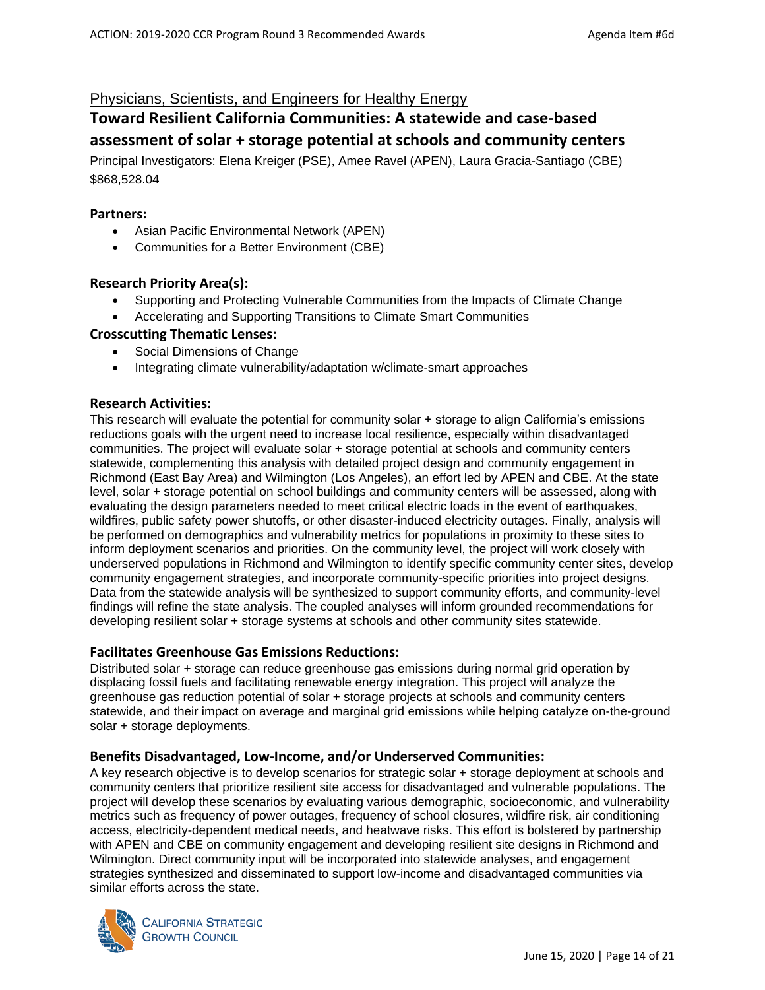### Physicians, Scientists, and Engineers for Healthy Energy

# **Toward Resilient California Communities: A statewide and case-based assessment of solar + storage potential at schools and community centers**

Principal Investigators: Elena Kreiger (PSE), Amee Ravel (APEN), Laura Gracia-Santiago (CBE) \$868,528.04

#### **Partners:**

- Asian Pacific Environmental Network (APEN)
- Communities for a Better Environment (CBE)

#### **Research Priority Area(s):**

- Supporting and Protecting Vulnerable Communities from the Impacts of Climate Change
- Accelerating and Supporting Transitions to Climate Smart Communities

#### **Crosscutting Thematic Lenses:**

- Social Dimensions of Change
- Integrating climate vulnerability/adaptation w/climate-smart approaches

#### **Research Activities:**

This research will evaluate the potential for community solar + storage to align California's emissions reductions goals with the urgent need to increase local resilience, especially within disadvantaged communities. The project will evaluate solar + storage potential at schools and community centers statewide, complementing this analysis with detailed project design and community engagement in Richmond (East Bay Area) and Wilmington (Los Angeles), an effort led by APEN and CBE. At the state level, solar + storage potential on school buildings and community centers will be assessed, along with evaluating the design parameters needed to meet critical electric loads in the event of earthquakes, wildfires, public safety power shutoffs, or other disaster-induced electricity outages. Finally, analysis will be performed on demographics and vulnerability metrics for populations in proximity to these sites to inform deployment scenarios and priorities. On the community level, the project will work closely with underserved populations in Richmond and Wilmington to identify specific community center sites, develop community engagement strategies, and incorporate community-specific priorities into project designs. Data from the statewide analysis will be synthesized to support community efforts, and community-level findings will refine the state analysis. The coupled analyses will inform grounded recommendations for developing resilient solar + storage systems at schools and other community sites statewide.

#### **Facilitates Greenhouse Gas Emissions Reductions:**

Distributed solar + storage can reduce greenhouse gas emissions during normal grid operation by displacing fossil fuels and facilitating renewable energy integration. This project will analyze the greenhouse gas reduction potential of solar + storage projects at schools and community centers statewide, and their impact on average and marginal grid emissions while helping catalyze on-the-ground solar + storage deployments.

#### **Benefits Disadvantaged, Low-Income, and/or Underserved Communities:**

A key research objective is to develop scenarios for strategic solar + storage deployment at schools and community centers that prioritize resilient site access for disadvantaged and vulnerable populations. The project will develop these scenarios by evaluating various demographic, socioeconomic, and vulnerability metrics such as frequency of power outages, frequency of school closures, wildfire risk, air conditioning access, electricity-dependent medical needs, and heatwave risks. This effort is bolstered by partnership with APEN and CBE on community engagement and developing resilient site designs in Richmond and Wilmington. Direct community input will be incorporated into statewide analyses, and engagement strategies synthesized and disseminated to support low-income and disadvantaged communities via similar efforts across the state.

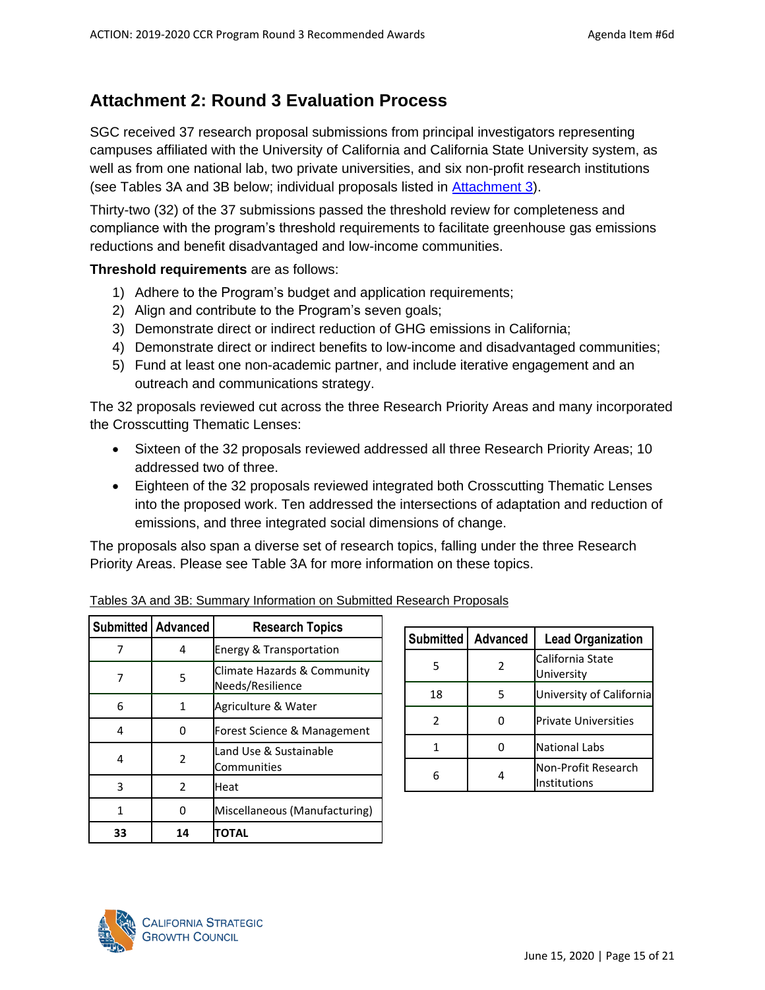# <span id="page-14-0"></span>**Attachment 2: Round 3 Evaluation Process**

SGC received 37 research proposal submissions from principal investigators representing campuses affiliated with the University of California and California State University system, as well as from one national lab, two private universities, and six non-profit research institutions (see Tables 3A and 3B below; individual proposals listed in [Attachment 3\)](#page-17-0).

Thirty-two (32) of the 37 submissions passed the threshold review for completeness and compliance with the program's threshold requirements to facilitate greenhouse gas emissions reductions and benefit disadvantaged and low-income communities.

**Threshold requirements** are as follows:

- 1) Adhere to the Program's budget and application requirements;
- 2) Align and contribute to the Program's seven goals;
- 3) Demonstrate direct or indirect reduction of GHG emissions in California;
- 4) Demonstrate direct or indirect benefits to low-income and disadvantaged communities;
- 5) Fund at least one non-academic partner, and include iterative engagement and an outreach and communications strategy.

The 32 proposals reviewed cut across the three Research Priority Areas and many incorporated the Crosscutting Thematic Lenses:

- Sixteen of the 32 proposals reviewed addressed all three Research Priority Areas; 10 addressed two of three.
- Eighteen of the 32 proposals reviewed integrated both Crosscutting Thematic Lenses into the proposed work. Ten addressed the intersections of adaptation and reduction of emissions, and three integrated social dimensions of change.

The proposals also span a diverse set of research topics, falling under the three Research Priority Areas. Please see Table 3A for more information on these topics.

|    | <b>Submitted   Advanced</b> | <b>Research Topics</b>                          |
|----|-----------------------------|-------------------------------------------------|
| 7  | 4                           | <b>Energy &amp; Transportation</b>              |
| 7  | 5                           | Climate Hazards & Community<br>Needs/Resilience |
| 6  | 1                           | Agriculture & Water                             |
| 4  | O                           | Forest Science & Management                     |
| 4  | 2                           | Land Use & Sustainable<br>Communities           |
| 3  | $\mathcal{P}$               | Heat                                            |
| 1  | O                           | Miscellaneous (Manufacturing)                   |
| 33 | 14                          | TOTAL                                           |

| Submitted     | <b>Advanced</b> | <b>Lead Organization</b>            |
|---------------|-----------------|-------------------------------------|
| 5             | $\mathfrak z$   | California State<br>University      |
| 18            | 5               | University of California            |
| $\mathcal{P}$ |                 | <b>Private Universities</b>         |
|               |                 | <b>National Labs</b>                |
|               |                 | Non-Profit Research<br>Institutions |

Tables 3A and 3B: Summary Information on Submitted Research Proposals

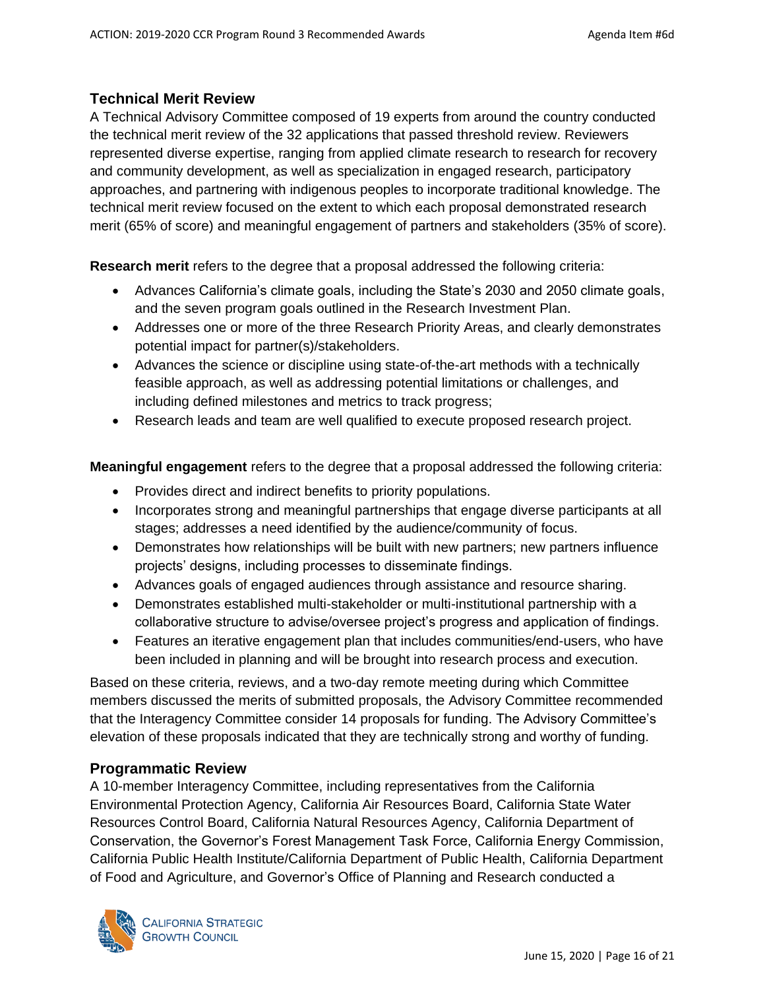### **Technical Merit Review**

A Technical Advisory Committee composed of 19 experts from around the country conducted the technical merit review of the 32 applications that passed threshold review. Reviewers represented diverse expertise, ranging from applied climate research to research for recovery and community development, as well as specialization in engaged research, participatory approaches, and partnering with indigenous peoples to incorporate traditional knowledge. The technical merit review focused on the extent to which each proposal demonstrated research merit (65% of score) and meaningful engagement of partners and stakeholders (35% of score).

**Research merit** refers to the degree that a proposal addressed the following criteria:

- Advances California's climate goals, including the State's 2030 and 2050 climate goals, and the seven program goals outlined in the Research Investment Plan.
- Addresses one or more of the three Research Priority Areas, and clearly demonstrates potential impact for partner(s)/stakeholders.
- Advances the science or discipline using state-of-the-art methods with a technically feasible approach, as well as addressing potential limitations or challenges, and including defined milestones and metrics to track progress;
- Research leads and team are well qualified to execute proposed research project.

**Meaningful engagement** refers to the degree that a proposal addressed the following criteria:

- Provides direct and indirect benefits to priority populations.
- Incorporates strong and meaningful partnerships that engage diverse participants at all stages; addresses a need identified by the audience/community of focus.
- Demonstrates how relationships will be built with new partners; new partners influence projects' designs, including processes to disseminate findings.
- Advances goals of engaged audiences through assistance and resource sharing.
- Demonstrates established multi-stakeholder or multi-institutional partnership with a collaborative structure to advise/oversee project's progress and application of findings.
- Features an iterative engagement plan that includes communities/end-users, who have been included in planning and will be brought into research process and execution.

Based on these criteria, reviews, and a two-day remote meeting during which Committee members discussed the merits of submitted proposals, the Advisory Committee recommended that the Interagency Committee consider 14 proposals for funding. The Advisory Committee's elevation of these proposals indicated that they are technically strong and worthy of funding.

# **Programmatic Review**

A 10-member Interagency Committee, including representatives from the California Environmental Protection Agency, California Air Resources Board, California State Water Resources Control Board, California Natural Resources Agency, California Department of Conservation, the Governor's Forest Management Task Force, California Energy Commission, California Public Health Institute/California Department of Public Health, California Department of Food and Agriculture, and Governor's Office of Planning and Research conducted a

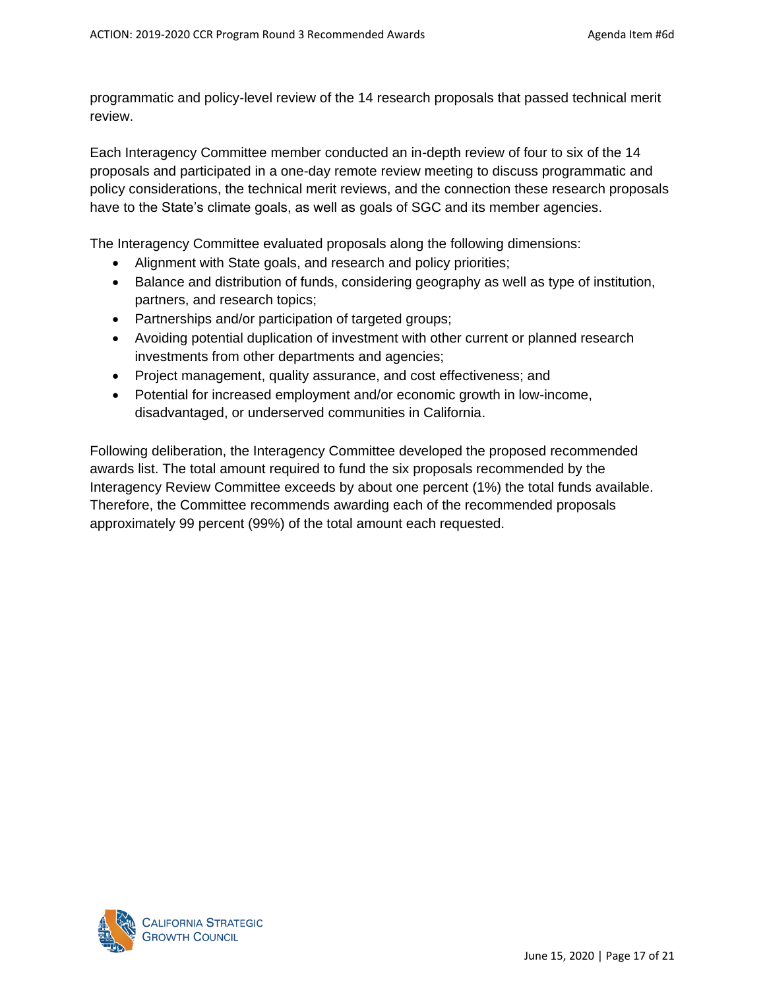programmatic and policy-level review of the 14 research proposals that passed technical merit review.

Each Interagency Committee member conducted an in-depth review of four to six of the 14 proposals and participated in a one-day remote review meeting to discuss programmatic and policy considerations, the technical merit reviews, and the connection these research proposals have to the State's climate goals, as well as goals of SGC and its member agencies.

The Interagency Committee evaluated proposals along the following dimensions:

- Alignment with State goals, and research and policy priorities;
- Balance and distribution of funds, considering geography as well as type of institution, partners, and research topics;
- Partnerships and/or participation of targeted groups;
- Avoiding potential duplication of investment with other current or planned research investments from other departments and agencies;
- Project management, quality assurance, and cost effectiveness; and
- Potential for increased employment and/or economic growth in low-income, disadvantaged, or underserved communities in California.

Following deliberation, the Interagency Committee developed the proposed recommended awards list. The total amount required to fund the six proposals recommended by the Interagency Review Committee exceeds by about one percent (1%) the total funds available. Therefore, the Committee recommends awarding each of the recommended proposals approximately 99 percent (99%) of the total amount each requested.

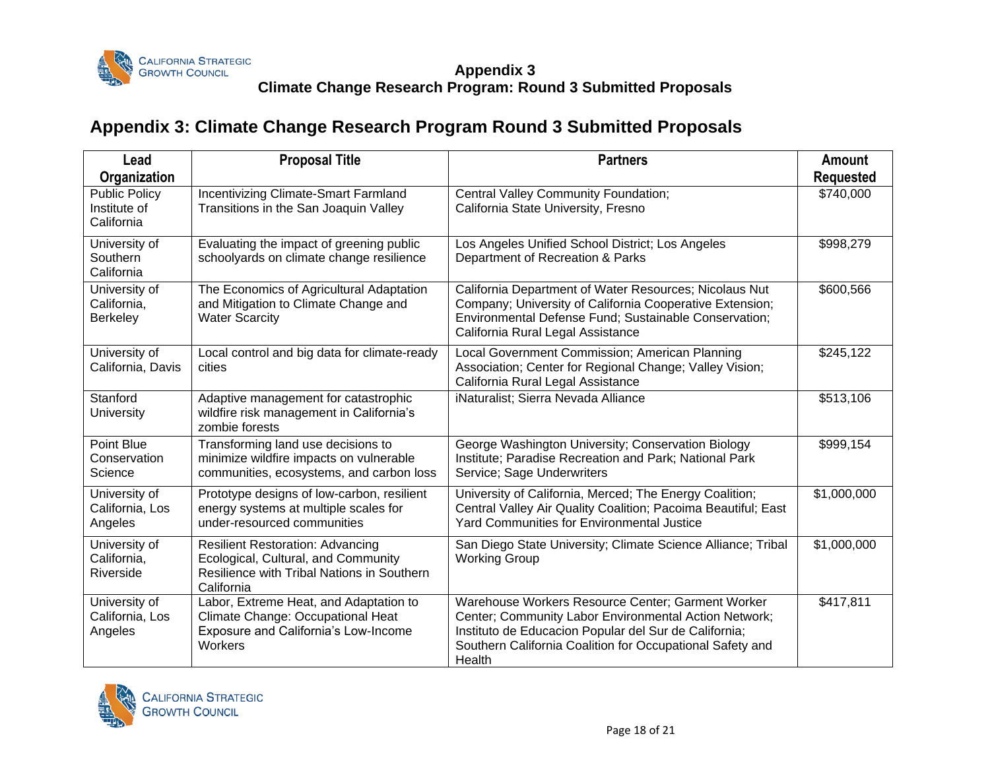

### **Appendix 3 Climate Change Research Program: Round 3 Submitted Proposals**

# **Appendix 3: Climate Change Research Program Round 3 Submitted Proposals**

<span id="page-17-0"></span>

| Lead                                                               | <b>Proposal Title</b>                                                                                                                      | <b>Partners</b>                                                                                                                                                                                                                            | Amount                        |
|--------------------------------------------------------------------|--------------------------------------------------------------------------------------------------------------------------------------------|--------------------------------------------------------------------------------------------------------------------------------------------------------------------------------------------------------------------------------------------|-------------------------------|
| Organization<br><b>Public Policy</b><br>Institute of<br>California | Incentivizing Climate-Smart Farmland<br>Transitions in the San Joaquin Valley                                                              | Central Valley Community Foundation;<br>California State University, Fresno                                                                                                                                                                | <b>Requested</b><br>\$740,000 |
| University of<br>Southern<br>California                            | Evaluating the impact of greening public<br>schoolyards on climate change resilience                                                       | Los Angeles Unified School District; Los Angeles<br>Department of Recreation & Parks                                                                                                                                                       | \$998,279                     |
| University of<br>California,<br><b>Berkeley</b>                    | The Economics of Agricultural Adaptation<br>and Mitigation to Climate Change and<br><b>Water Scarcity</b>                                  | California Department of Water Resources; Nicolaus Nut<br>Company; University of California Cooperative Extension;<br>Environmental Defense Fund; Sustainable Conservation;<br>California Rural Legal Assistance                           | \$600,566                     |
| University of<br>California, Davis                                 | Local control and big data for climate-ready<br>cities                                                                                     | Local Government Commission; American Planning<br>Association; Center for Regional Change; Valley Vision;<br>California Rural Legal Assistance                                                                                             | \$245,122                     |
| Stanford<br>University                                             | Adaptive management for catastrophic<br>wildfire risk management in California's<br>zombie forests                                         | iNaturalist; Sierra Nevada Alliance                                                                                                                                                                                                        | \$513,106                     |
| Point Blue<br>Conservation<br>Science                              | Transforming land use decisions to<br>minimize wildfire impacts on vulnerable<br>communities, ecosystems, and carbon loss                  | George Washington University; Conservation Biology<br>Institute; Paradise Recreation and Park; National Park<br>Service; Sage Underwriters                                                                                                 | \$999,154                     |
| University of<br>California, Los<br>Angeles                        | Prototype designs of low-carbon, resilient<br>energy systems at multiple scales for<br>under-resourced communities                         | University of California, Merced; The Energy Coalition;<br>Central Valley Air Quality Coalition; Pacoima Beautiful; East<br><b>Yard Communities for Environmental Justice</b>                                                              | \$1,000,000                   |
| University of<br>California,<br>Riverside                          | <b>Resilient Restoration: Advancing</b><br>Ecological, Cultural, and Community<br>Resilience with Tribal Nations in Southern<br>California | San Diego State University; Climate Science Alliance; Tribal<br><b>Working Group</b>                                                                                                                                                       | \$1,000,000                   |
| University of<br>California, Los<br>Angeles                        | Labor, Extreme Heat, and Adaptation to<br>Climate Change: Occupational Heat<br>Exposure and California's Low-Income<br>Workers             | Warehouse Workers Resource Center; Garment Worker<br>Center; Community Labor Environmental Action Network;<br>Instituto de Educacion Popular del Sur de California;<br>Southern California Coalition for Occupational Safety and<br>Health | \$417,811                     |

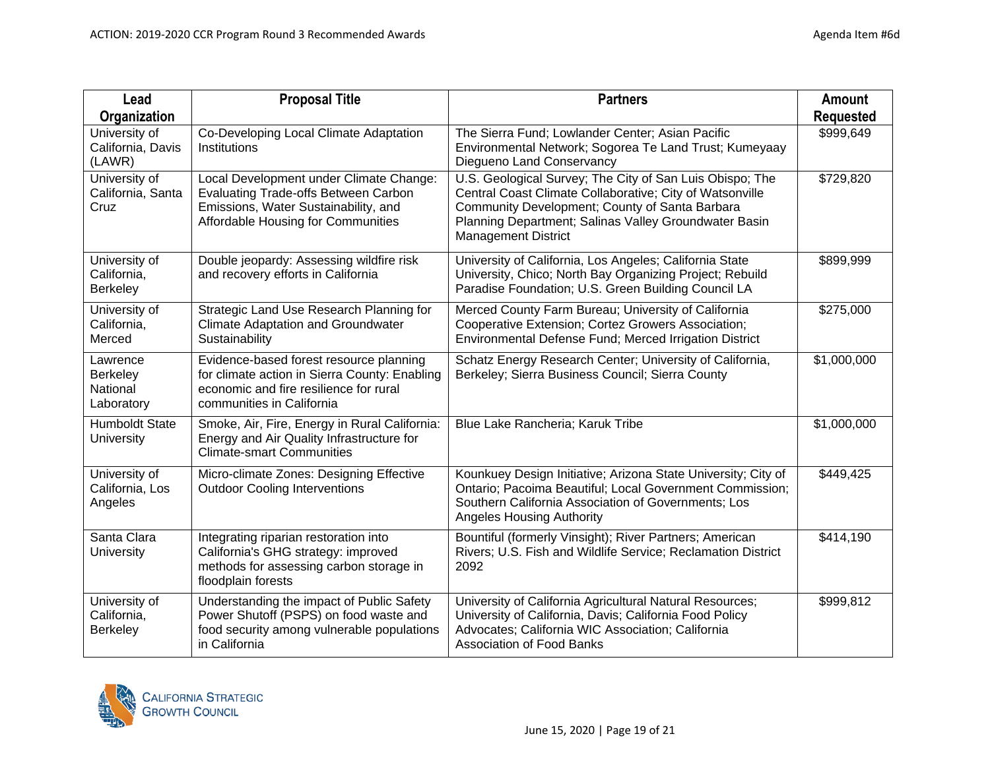| Lead                                                  | <b>Proposal Title</b>                                                                                                                                                | <b>Partners</b>                                                                                                                                                                                                                                               | <b>Amount</b>    |
|-------------------------------------------------------|----------------------------------------------------------------------------------------------------------------------------------------------------------------------|---------------------------------------------------------------------------------------------------------------------------------------------------------------------------------------------------------------------------------------------------------------|------------------|
| Organization                                          |                                                                                                                                                                      |                                                                                                                                                                                                                                                               | <b>Requested</b> |
| University of<br>California, Davis<br>(LAWR)          | Co-Developing Local Climate Adaptation<br>Institutions                                                                                                               | The Sierra Fund; Lowlander Center; Asian Pacific<br>Environmental Network; Sogorea Te Land Trust; Kumeyaay<br>Diegueno Land Conservancy                                                                                                                       | \$999,649        |
| University of<br>California, Santa<br>Cruz            | Local Development under Climate Change:<br><b>Evaluating Trade-offs Between Carbon</b><br>Emissions, Water Sustainability, and<br>Affordable Housing for Communities | U.S. Geological Survey; The City of San Luis Obispo; The<br>Central Coast Climate Collaborative; City of Watsonville<br>Community Development; County of Santa Barbara<br>Planning Department; Salinas Valley Groundwater Basin<br><b>Management District</b> | \$729,820        |
| University of<br>California,<br>Berkeley              | Double jeopardy: Assessing wildfire risk<br>and recovery efforts in California                                                                                       | University of California, Los Angeles; California State<br>University, Chico; North Bay Organizing Project; Rebuild<br>Paradise Foundation; U.S. Green Building Council LA                                                                                    | \$899,999        |
| University of<br>California,<br>Merced                | Strategic Land Use Research Planning for<br><b>Climate Adaptation and Groundwater</b><br>Sustainability                                                              | Merced County Farm Bureau; University of California<br>Cooperative Extension; Cortez Growers Association;<br>Environmental Defense Fund; Merced Irrigation District                                                                                           | \$275,000        |
| Lawrence<br><b>Berkeley</b><br>National<br>Laboratory | Evidence-based forest resource planning<br>for climate action in Sierra County: Enabling<br>economic and fire resilience for rural<br>communities in California      | Schatz Energy Research Center; University of California,<br>Berkeley; Sierra Business Council; Sierra County                                                                                                                                                  | \$1,000,000      |
| <b>Humboldt State</b><br>University                   | Smoke, Air, Fire, Energy in Rural California:<br>Energy and Air Quality Infrastructure for<br><b>Climate-smart Communities</b>                                       | Blue Lake Rancheria; Karuk Tribe                                                                                                                                                                                                                              | \$1,000,000      |
| University of<br>California, Los<br>Angeles           | Micro-climate Zones: Designing Effective<br><b>Outdoor Cooling Interventions</b>                                                                                     | Kounkuey Design Initiative; Arizona State University; City of<br>Ontario; Pacoima Beautiful; Local Government Commission;<br>Southern California Association of Governments; Los<br><b>Angeles Housing Authority</b>                                          | \$449,425        |
| Santa Clara<br>University                             | Integrating riparian restoration into<br>California's GHG strategy: improved<br>methods for assessing carbon storage in<br>floodplain forests                        | Bountiful (formerly Vinsight); River Partners; American<br>Rivers; U.S. Fish and Wildlife Service; Reclamation District<br>2092                                                                                                                               | \$414,190        |
| University of<br>California,<br>Berkeley              | Understanding the impact of Public Safety<br>Power Shutoff (PSPS) on food waste and<br>food security among vulnerable populations<br>in California                   | University of California Agricultural Natural Resources;<br>University of California, Davis; California Food Policy<br>Advocates; California WIC Association; California<br><b>Association of Food Banks</b>                                                  | \$999,812        |

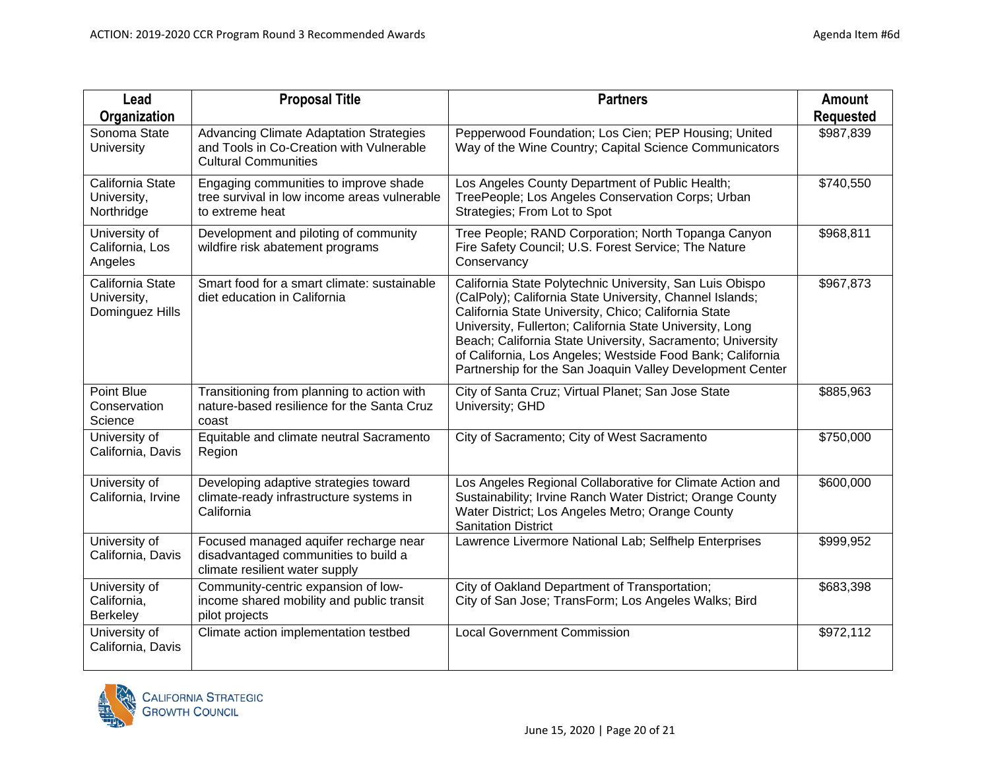| Lead                                               | <b>Proposal Title</b>                                                                                                     | <b>Partners</b>                                                                                                                                                                                                                                                                                                                                                                                                                   | <b>Amount</b>    |
|----------------------------------------------------|---------------------------------------------------------------------------------------------------------------------------|-----------------------------------------------------------------------------------------------------------------------------------------------------------------------------------------------------------------------------------------------------------------------------------------------------------------------------------------------------------------------------------------------------------------------------------|------------------|
| Organization                                       |                                                                                                                           |                                                                                                                                                                                                                                                                                                                                                                                                                                   | <b>Requested</b> |
| Sonoma State<br><b>University</b>                  | <b>Advancing Climate Adaptation Strategies</b><br>and Tools in Co-Creation with Vulnerable<br><b>Cultural Communities</b> | Pepperwood Foundation; Los Cien; PEP Housing; United<br>Way of the Wine Country; Capital Science Communicators                                                                                                                                                                                                                                                                                                                    | \$987,839        |
| California State<br>University,<br>Northridge      | Engaging communities to improve shade<br>tree survival in low income areas vulnerable<br>to extreme heat                  | Los Angeles County Department of Public Health;<br>TreePeople; Los Angeles Conservation Corps; Urban<br>Strategies; From Lot to Spot                                                                                                                                                                                                                                                                                              | \$740,550        |
| University of<br>California, Los<br>Angeles        | Development and piloting of community<br>wildfire risk abatement programs                                                 | Tree People; RAND Corporation; North Topanga Canyon<br>Fire Safety Council; U.S. Forest Service; The Nature<br>Conservancy                                                                                                                                                                                                                                                                                                        | \$968,811        |
| California State<br>University,<br>Dominguez Hills | Smart food for a smart climate: sustainable<br>diet education in California                                               | California State Polytechnic University, San Luis Obispo<br>(CalPoly); California State University, Channel Islands;<br>California State University, Chico; California State<br>University, Fullerton; California State University, Long<br>Beach; California State University, Sacramento; University<br>of California, Los Angeles; Westside Food Bank; California<br>Partnership for the San Joaquin Valley Development Center | \$967,873        |
| Point Blue<br>Conservation<br>Science              | Transitioning from planning to action with<br>nature-based resilience for the Santa Cruz<br>coast                         | City of Santa Cruz; Virtual Planet; San Jose State<br>University; GHD                                                                                                                                                                                                                                                                                                                                                             | \$885,963        |
| University of<br>California, Davis                 | Equitable and climate neutral Sacramento<br>Region                                                                        | City of Sacramento; City of West Sacramento                                                                                                                                                                                                                                                                                                                                                                                       | \$750,000        |
| University of<br>California, Irvine                | Developing adaptive strategies toward<br>climate-ready infrastructure systems in<br>California                            | Los Angeles Regional Collaborative for Climate Action and<br>Sustainability; Irvine Ranch Water District; Orange County<br>Water District; Los Angeles Metro; Orange County<br><b>Sanitation District</b>                                                                                                                                                                                                                         | \$600,000        |
| University of<br>California, Davis                 | Focused managed aquifer recharge near<br>disadvantaged communities to build a<br>climate resilient water supply           | Lawrence Livermore National Lab; Selfhelp Enterprises                                                                                                                                                                                                                                                                                                                                                                             | \$999,952        |
| University of<br>California,<br><b>Berkeley</b>    | Community-centric expansion of low-<br>income shared mobility and public transit<br>pilot projects                        | City of Oakland Department of Transportation;<br>City of San Jose; TransForm; Los Angeles Walks; Bird                                                                                                                                                                                                                                                                                                                             | \$683,398        |
| University of<br>California, Davis                 | Climate action implementation testbed                                                                                     | <b>Local Government Commission</b>                                                                                                                                                                                                                                                                                                                                                                                                | \$972,112        |